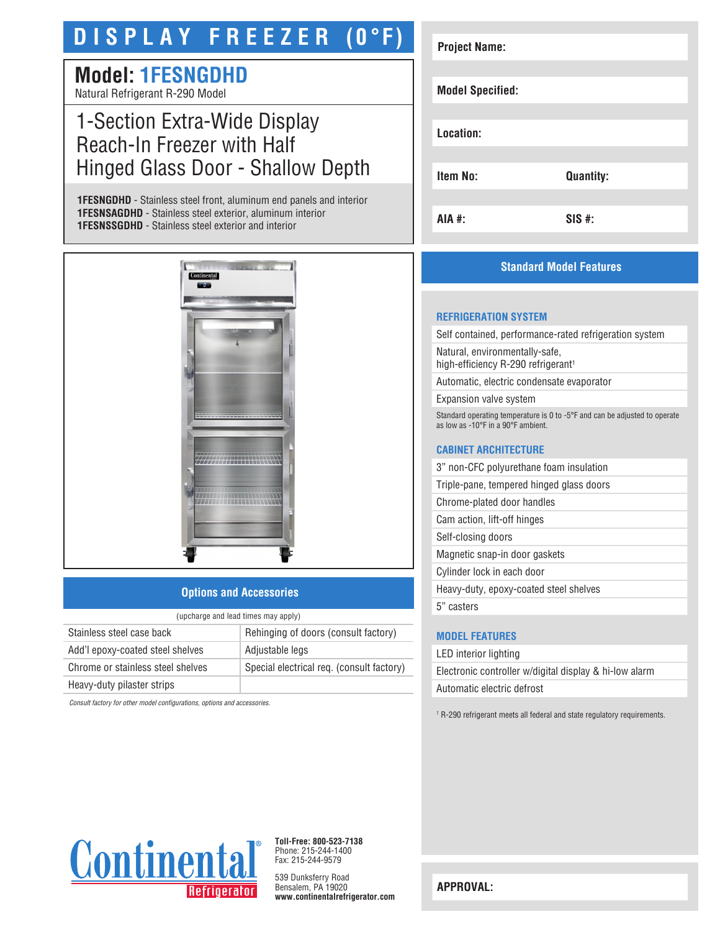# **D I S P L A Y F R E E Z E R (0°F)**

### **Model: 1FESNGDHD** Natural Refrigerant R-290 Model

## 1-Section Extra-Wide Display Reach-In Freezer with Half Hinged Glass Door - Shallow Depth

**1FESNGDHD** - Stainless steel front, aluminum end panels and interior **1FESNSAGDHD** - Stainless steel exterior, aluminum interior **1FESNSSGDHD** - Stainless steel exterior and interior



#### **Options and Accessories**

| (upcharge and lead times may apply) |                                           |  |
|-------------------------------------|-------------------------------------------|--|
| Stainless steel case back           | Rehinging of doors (consult factory)      |  |
| Add'l epoxy-coated steel shelves    | Adjustable legs                           |  |
| Chrome or stainless steel shelves   | Special electrical req. (consult factory) |  |
| Heavy-duty pilaster strips          |                                           |  |
|                                     |                                           |  |

*Consult factory for other model configurations, options and accessories.*

| <b>Project Name:</b>    |                  |
|-------------------------|------------------|
|                         |                  |
| <b>Model Specified:</b> |                  |
|                         |                  |
| Location:               |                  |
|                         |                  |
| <b>Item No:</b>         | <b>Quantity:</b> |
|                         |                  |
| AIA #:                  | $SIS$ #:         |

#### **Standard Model Features**

#### **REFRIGERATION SYSTEM**

Self contained, performance-rated refrigeration system

Natural, environmentally-safe, high-efficiency R-290 refrigerant<sup>1</sup>

Automatic, electric condensate evaporator

Expansion valve system

Standard operating temperature is 0 to -5°F and can be adjusted to operate as low as -10°F in a 90°F ambient.

#### **CABINET ARCHITECTURE**

3" non-CFC polyurethane foam insulation

Triple-pane, tempered hinged glass doors

Chrome-plated door handles

Cam action, lift-off hinges

Self-closing doors

Magnetic snap-in door gaskets

Cylinder lock in each door

Heavy-duty, epoxy-coated steel shelves

5" casters

#### **MODEL FEATURES**

LED interior lighting Electronic controller w/digital display & hi-low alarm Automatic electric defrost

<sup>1</sup> R-290 refrigerant meets all federal and state regulatory requirements.



**Toll-Free: 800-523-7138** Phone: 215-244-1400 Fax: 215-244-9579

539 Dunksferry Road Bensalem, PA 19020 **www.continentalrefrigerator.com** 

**APPROVAL:**